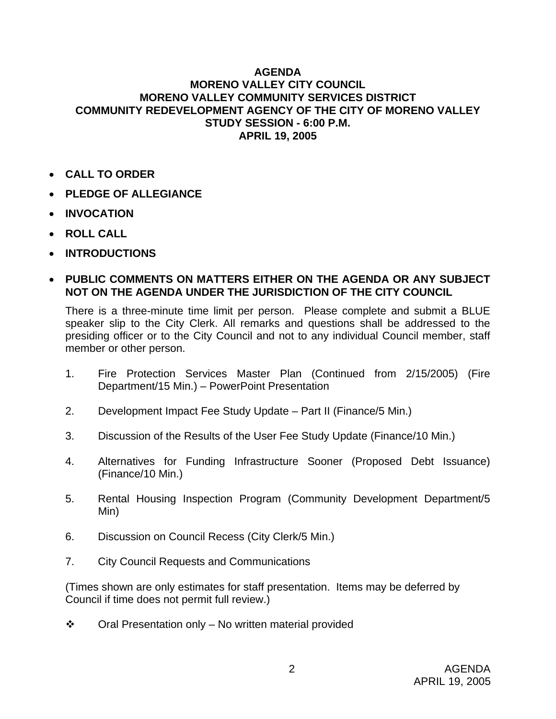## **AGENDA MORENO VALLEY CITY COUNCIL MORENO VALLEY COMMUNITY SERVICES DISTRICT COMMUNITY REDEVELOPMENT AGENCY OF THE CITY OF MORENO VALLEY STUDY SESSION - 6:00 P.M. APRIL 19, 2005**

- **CALL TO ORDER**
- **PLEDGE OF ALLEGIANCE**
- **INVOCATION**
- **ROLL CALL**
- **INTRODUCTIONS**
- **PUBLIC COMMENTS ON MATTERS EITHER ON THE AGENDA OR ANY SUBJECT NOT ON THE AGENDA UNDER THE JURISDICTION OF THE CITY COUNCIL**

There is a three-minute time limit per person. Please complete and submit a BLUE speaker slip to the City Clerk. All remarks and questions shall be addressed to the presiding officer or to the City Council and not to any individual Council member, staff member or other person.

- 1. Fire Protection Services Master Plan (Continued from 2/15/2005) (Fire Department/15 Min.) – PowerPoint Presentation
- 2. Development Impact Fee Study Update Part II (Finance/5 Min.)
- 3. Discussion of the Results of the User Fee Study Update (Finance/10 Min.)
- 4. Alternatives for Funding Infrastructure Sooner (Proposed Debt Issuance) (Finance/10 Min.)
- 5. Rental Housing Inspection Program (Community Development Department/5 Min)
- 6. Discussion on Council Recess (City Clerk/5 Min.)
- 7. City Council Requests and Communications

(Times shown are only estimates for staff presentation. Items may be deferred by Council if time does not permit full review.)

 $\cdot \cdot$  Oral Presentation only – No written material provided